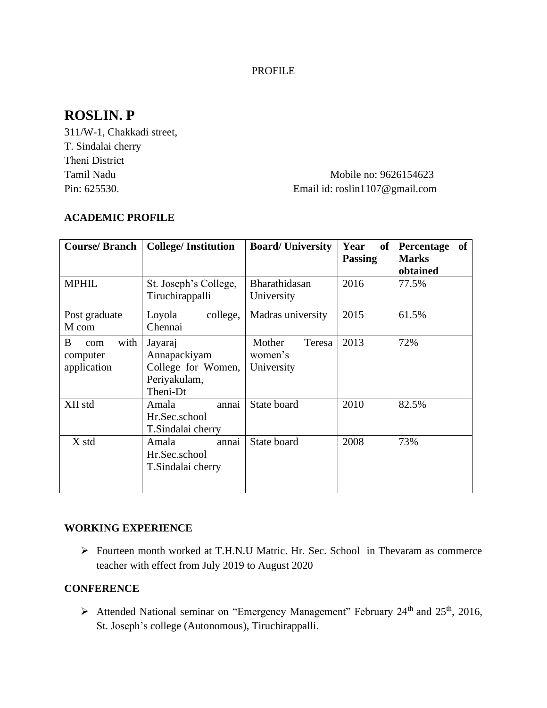### PROFILE

# **ROSLIN. P**

311/W-1, Chakkadi street, T. Sindalai cherry Theni District

## Tamil Nadu Mobile no: 9626154623 Pin: 625530. Email id: roslin1107@gmail.com

#### **ACADEMIC PROFILE**

| <b>Course/Branch</b>                        | <b>College/Institution</b>                                                | <b>Board/University</b>                   | Year<br>of<br><b>Passing</b> | <b>of</b><br>Percentage<br><b>Marks</b><br>obtained |
|---------------------------------------------|---------------------------------------------------------------------------|-------------------------------------------|------------------------------|-----------------------------------------------------|
| <b>MPHIL</b>                                | St. Joseph's College,<br>Tiruchirappalli                                  | Bharathidasan<br>University               | 2016                         | 77.5%                                               |
| Post graduate<br>M com                      | Loyola<br>college,<br>Chennai                                             | Madras university                         | 2015                         | 61.5%                                               |
| with<br>B<br>com<br>computer<br>application | Jayaraj<br>Annapackiyam<br>College for Women,<br>Periyakulam,<br>Theni-Dt | Teresa<br>Mother<br>women's<br>University | 2013                         | 72%                                                 |
| XII std                                     | annai<br>Amala<br>Hr.Sec.school<br>T. Sindalai cherry                     | State board                               | 2010                         | 82.5%                                               |
| X std                                       | Amala<br>annai<br>Hr.Sec.school<br>T. Sindalai cherry                     | State board                               | 2008                         | 73%                                                 |

### **WORKING EXPERIENCE**

➢ Fourteen month worked at T.H.N.U Matric. Hr. Sec. School in Thevaram as commerce teacher with effect from July 2019 to August 2020

#### **CONFERENCE**

 $\triangleright$  Attended National seminar on "Emergency Management" February 24<sup>th</sup> and 25<sup>th</sup>, 2016, St. Joseph's college (Autonomous), Tiruchirappalli.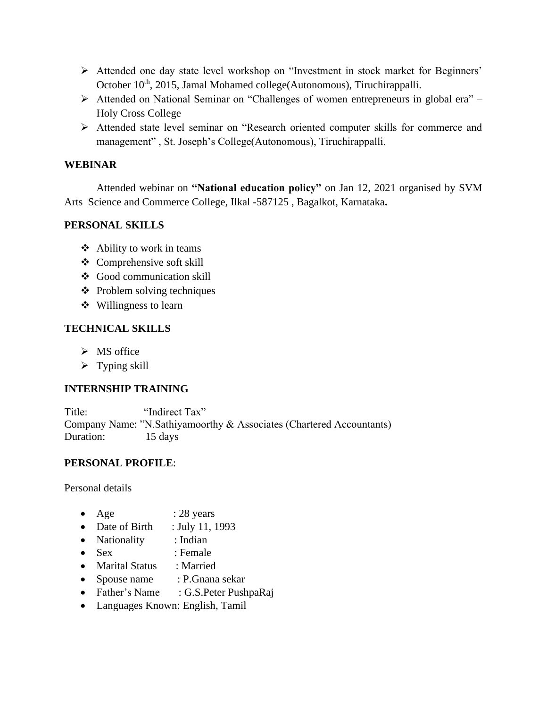- ➢ Attended one day state level workshop on "Investment in stock market for Beginners' October 10<sup>th</sup>, 2015, Jamal Mohamed college(Autonomous), Tiruchirappalli.
- ➢ Attended on National Seminar on "Challenges of women entrepreneurs in global era" Holy Cross College
- ➢ Attended state level seminar on "Research oriented computer skills for commerce and management" , St. Joseph's College(Autonomous), Tiruchirappalli.

#### **WEBINAR**

Attended webinar on **"National education policy"** on Jan 12, 2021 organised by SVM Arts Science and Commerce College, Ilkal -587125 , Bagalkot, Karnataka**.**

### **PERSONAL SKILLS**

- ❖ Ability to work in teams
- ❖ Comprehensive soft skill
- ❖ Good communication skill
- ❖ Problem solving techniques
- ❖ Willingness to learn

#### **TECHNICAL SKILLS**

- $\triangleright$  MS office
- $\triangleright$  Typing skill

### **INTERNSHIP TRAINING**

Title: "Indirect Tax" Company Name: "N.Sathiyamoorthy & Associates (Chartered Accountants) Duration: 15 days

### **PERSONAL PROFILE**:

Personal details

- Age  $: 28 \text{ years}$
- Date of Birth : July 11, 1993
- Nationality : Indian
- Sex : Female
- Marital Status : Married
- Spouse name : P.Gnana sekar
- Father's Name : G.S. Peter PushpaRaj
- Languages Known: English, Tamil